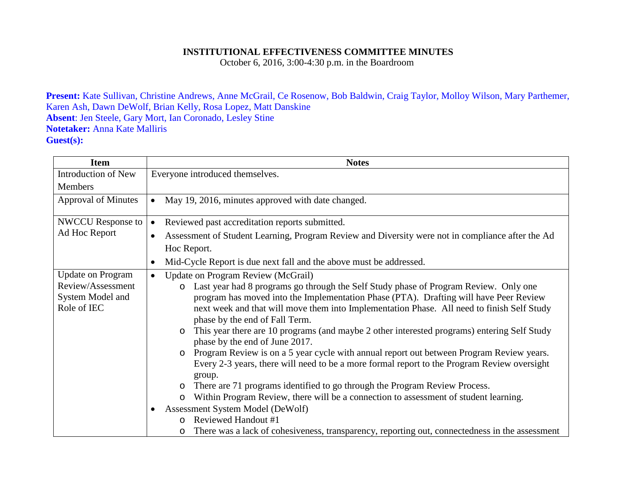## **INSTITUTIONAL EFFECTIVENESS COMMITTEE MINUTES**

October 6, 2016, 3:00-4:30 p.m. in the Boardroom

**Present:** Kate Sullivan, Christine Andrews, Anne McGrail, Ce Rosenow, Bob Baldwin, Craig Taylor, Molloy Wilson, Mary Parthemer, Karen Ash, Dawn DeWolf, Brian Kelly, Rosa Lopez, Matt Danskine **Absent**: Jen Steele, Gary Mort, Ian Coronado, Lesley Stine **Notetaker:** Anna Kate Malliris **Guest(s):**

| <b>Item</b>                                          | <b>Notes</b>                                                                                                                                                                                                                                                                                                                                                                                                                                                                                                                                                                                                                                                                                                                                                                                                                                                          |
|------------------------------------------------------|-----------------------------------------------------------------------------------------------------------------------------------------------------------------------------------------------------------------------------------------------------------------------------------------------------------------------------------------------------------------------------------------------------------------------------------------------------------------------------------------------------------------------------------------------------------------------------------------------------------------------------------------------------------------------------------------------------------------------------------------------------------------------------------------------------------------------------------------------------------------------|
| Introduction of New                                  | Everyone introduced themselves.                                                                                                                                                                                                                                                                                                                                                                                                                                                                                                                                                                                                                                                                                                                                                                                                                                       |
| <b>Members</b>                                       |                                                                                                                                                                                                                                                                                                                                                                                                                                                                                                                                                                                                                                                                                                                                                                                                                                                                       |
| <b>Approval of Minutes</b>                           | May 19, 2016, minutes approved with date changed.<br>$\bullet$                                                                                                                                                                                                                                                                                                                                                                                                                                                                                                                                                                                                                                                                                                                                                                                                        |
| <b>NWCCU</b> Response to                             | Reviewed past accreditation reports submitted.<br>$\bullet$                                                                                                                                                                                                                                                                                                                                                                                                                                                                                                                                                                                                                                                                                                                                                                                                           |
| Ad Hoc Report                                        | Assessment of Student Learning, Program Review and Diversity were not in compliance after the Ad<br>$\bullet$                                                                                                                                                                                                                                                                                                                                                                                                                                                                                                                                                                                                                                                                                                                                                         |
|                                                      | Hoc Report.                                                                                                                                                                                                                                                                                                                                                                                                                                                                                                                                                                                                                                                                                                                                                                                                                                                           |
|                                                      | Mid-Cycle Report is due next fall and the above must be addressed.<br>٠                                                                                                                                                                                                                                                                                                                                                                                                                                                                                                                                                                                                                                                                                                                                                                                               |
| <b>Update on Program</b>                             | <b>Update on Program Review (McGrail)</b><br>$\bullet$                                                                                                                                                                                                                                                                                                                                                                                                                                                                                                                                                                                                                                                                                                                                                                                                                |
| Review/Assessment<br>System Model and<br>Role of IEC | Last year had 8 programs go through the Self Study phase of Program Review. Only one<br>$\circ$<br>program has moved into the Implementation Phase (PTA). Drafting will have Peer Review<br>next week and that will move them into Implementation Phase. All need to finish Self Study<br>phase by the end of Fall Term.<br>This year there are 10 programs (and maybe 2 other interested programs) entering Self Study<br>$\circ$<br>phase by the end of June 2017.<br>Program Review is on a 5 year cycle with annual report out between Program Review years.<br>Every 2-3 years, there will need to be a more formal report to the Program Review oversight<br>group.<br>There are 71 programs identified to go through the Program Review Process.<br>$\circ$<br>Within Program Review, there will be a connection to assessment of student learning.<br>$\circ$ |
|                                                      | Assessment System Model (DeWolf)<br>$\bullet$                                                                                                                                                                                                                                                                                                                                                                                                                                                                                                                                                                                                                                                                                                                                                                                                                         |
|                                                      | Reviewed Handout #1<br>$\cap$                                                                                                                                                                                                                                                                                                                                                                                                                                                                                                                                                                                                                                                                                                                                                                                                                                         |
|                                                      | There was a lack of cohesiveness, transparency, reporting out, connectedness in the assessment                                                                                                                                                                                                                                                                                                                                                                                                                                                                                                                                                                                                                                                                                                                                                                        |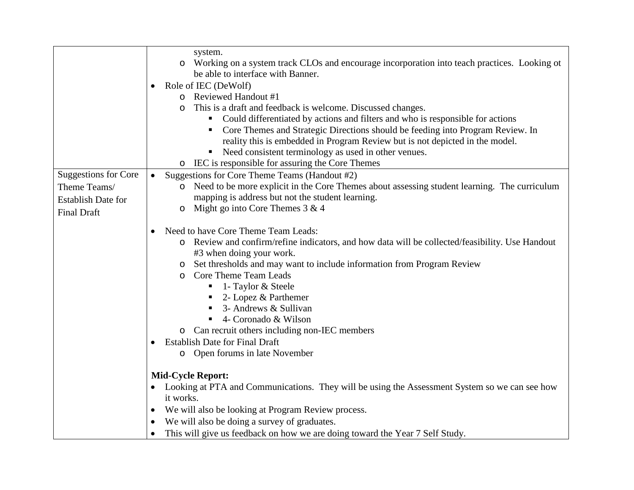|                             | system.<br>Working on a system track CLOs and encourage incorporation into teach practices. Looking ot<br>$\circ$                                              |
|-----------------------------|----------------------------------------------------------------------------------------------------------------------------------------------------------------|
|                             | be able to interface with Banner.                                                                                                                              |
|                             | Role of IEC (DeWolf)                                                                                                                                           |
|                             | o Reviewed Handout #1                                                                                                                                          |
|                             | This is a draft and feedback is welcome. Discussed changes.                                                                                                    |
|                             | Could differentiated by actions and filters and who is responsible for actions<br>п                                                                            |
|                             | Core Themes and Strategic Directions should be feeding into Program Review. In<br>reality this is embedded in Program Review but is not depicted in the model. |
|                             | Need consistent terminology as used in other venues.<br>٠                                                                                                      |
|                             | IEC is responsible for assuring the Core Themes<br>$\circ$                                                                                                     |
| <b>Suggestions for Core</b> | Suggestions for Core Theme Teams (Handout #2)<br>$\bullet$                                                                                                     |
| Theme Teams/                | Need to be more explicit in the Core Themes about assessing student learning. The curriculum<br>$\circ$                                                        |
| <b>Establish Date for</b>   | mapping is address but not the student learning.                                                                                                               |
| <b>Final Draft</b>          | Might go into Core Themes $3 & 4$<br>O                                                                                                                         |
|                             | Need to have Core Theme Team Leads:<br>٠                                                                                                                       |
|                             | o Review and confirm/refine indicators, and how data will be collected/feasibility. Use Handout<br>#3 when doing your work.                                    |
|                             | Set thresholds and may want to include information from Program Review<br>O                                                                                    |
|                             | Core Theme Team Leads<br>$\circ$                                                                                                                               |
|                             | 1- Taylor & Steele                                                                                                                                             |
|                             | 2- Lopez & Parthemer<br>п                                                                                                                                      |
|                             | 3- Andrews & Sullivan                                                                                                                                          |
|                             | 4- Coronado & Wilson                                                                                                                                           |
|                             | o Can recruit others including non-IEC members                                                                                                                 |
|                             | <b>Establish Date for Final Draft</b>                                                                                                                          |
|                             | o Open forums in late November                                                                                                                                 |
|                             | <b>Mid-Cycle Report:</b>                                                                                                                                       |
|                             | Looking at PTA and Communications. They will be using the Assessment System so we can see how                                                                  |
|                             | it works.                                                                                                                                                      |
|                             | We will also be looking at Program Review process.<br>$\bullet$                                                                                                |
|                             | We will also be doing a survey of graduates.                                                                                                                   |
|                             | This will give us feedback on how we are doing toward the Year 7 Self Study.<br>$\bullet$                                                                      |